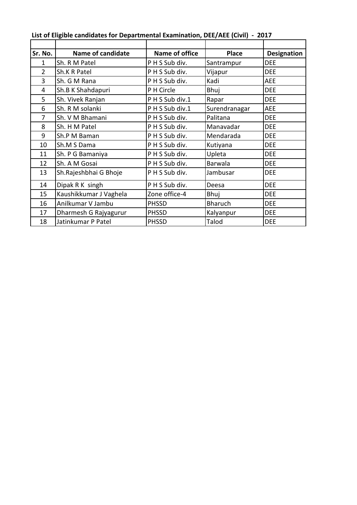| Sr. No.        | <b>Name of candidate</b> | Name of office | <b>Place</b>   | <b>Designation</b> |
|----------------|--------------------------|----------------|----------------|--------------------|
| 1              | Sh. R M Patel            | PHS Sub div.   | Santrampur     | <b>DEE</b>         |
| $\overline{2}$ | Sh.K R Patel             | PHS Sub div.   | Vijapur        | <b>DEE</b>         |
| 3              | Sh. G M Rana             | PHS Sub div.   | Kadi           | AEE                |
| 4              | Sh.B K Shahdapuri        | P H Circle     | Bhuj           | <b>DEE</b>         |
| 5              | Sh. Vivek Ranjan         | PHS Sub div.1  | Rapar          | <b>DEE</b>         |
| 6              | Sh. R M solanki          | PHS Sub div.1  | Surendranagar  | AEE                |
| 7              | Sh. V M Bhamani          | PHS Sub div.   | Palitana       | <b>DEE</b>         |
| 8              | Sh. H M Patel            | PHS Sub div.   | Manavadar      | <b>DEE</b>         |
| 9              | Sh.P M Baman             | PHS Sub div.   | Mendarada      | <b>DEE</b>         |
| 10             | Sh.M S Dama              | PHS Sub div.   | Kutiyana       | <b>DEE</b>         |
| 11             | Sh. P G Bamaniya         | PHS Sub div.   | Upleta         | <b>DEE</b>         |
| 12             | Sh. A M Gosai            | PHS Sub div.   | Barwala        | <b>DEE</b>         |
| 13             | Sh. Rajeshbhai G Bhoje   | PHS Sub div.   | Jambusar       | <b>DEE</b>         |
| 14             | Dipak R K singh          | PHS Sub div.   | Deesa          | <b>DEE</b>         |
| 15             | Kaushikkumar J Vaghela   | Zone office-4  | Bhuj           | <b>DEE</b>         |
| 16             | Anilkumar V Jambu        | <b>PHSSD</b>   | <b>Bharuch</b> | <b>DEE</b>         |
| 17             | Dharmesh G Rajyagurur    | <b>PHSSD</b>   | Kalyanpur      | <b>DEE</b>         |
| 18             | Jatinkumar P Patel       | <b>PHSSD</b>   | Talod          | <b>DEE</b>         |

**List of Eligible candidates for Departmental Examination, DEE/AEE (Civil) - 2017**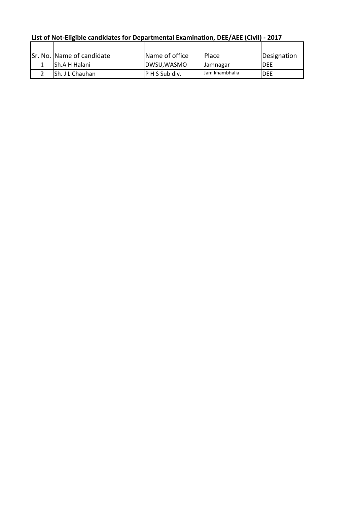| <u>LISL OF NOL-CIIRIDIC CANQUARES TOF DEDAITMENTAL EXAMINIATION, DEC/ACC (CIVII) - 2017</u> |                           |                |                 |              |  |  |  |
|---------------------------------------------------------------------------------------------|---------------------------|----------------|-----------------|--------------|--|--|--|
|                                                                                             |                           |                |                 |              |  |  |  |
|                                                                                             | Sr. No. Name of candidate | Name of office | <b>Place</b>    | Designation  |  |  |  |
|                                                                                             | <b>Sh.A H Halani</b>      | DWSU,WASMO     | <b>Jamnagar</b> | IDEE         |  |  |  |
|                                                                                             | Sh. J L Chauhan           | P H S Sub div. | Jam khambhalia  | <b>I</b> DEE |  |  |  |

**List of Not-Eligible candidates for Departmental Examination, DEE/AEE (Civil) - 2017**